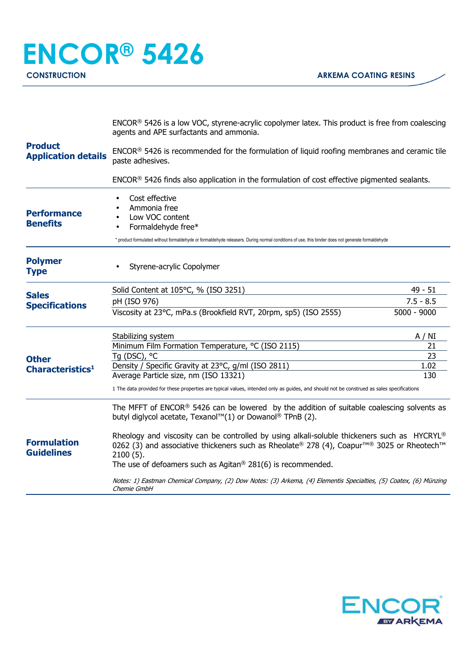| <b>Product</b><br><b>Application details</b> | ENCOR® 5426 is a low VOC, styrene-acrylic copolymer latex. This product is free from coalescing<br>agents and APE surfactants and ammonia.                                                                                                    |               |  |
|----------------------------------------------|-----------------------------------------------------------------------------------------------------------------------------------------------------------------------------------------------------------------------------------------------|---------------|--|
|                                              | ENCOR® 5426 is recommended for the formulation of liquid roofing membranes and ceramic tile<br>paste adhesives.                                                                                                                               |               |  |
|                                              | ENCOR <sup>®</sup> 5426 finds also application in the formulation of cost effective pigmented sealants.                                                                                                                                       |               |  |
| <b>Performance</b><br><b>Benefits</b>        | Cost effective<br>Ammonia free<br>Low VOC content<br>Formaldehyde free*<br>* product formulated without formaldehyde or formaldehyde releasers. During normal conditions of use, this binder does not generate formaldehyde                   |               |  |
|                                              |                                                                                                                                                                                                                                               |               |  |
| <b>Polymer</b><br><b>Type</b>                | Styrene-acrylic Copolymer                                                                                                                                                                                                                     |               |  |
| <b>Sales</b><br><b>Specifications</b>        | Solid Content at 105°C, % (ISO 3251)                                                                                                                                                                                                          | $49 - 51$     |  |
|                                              | pH (ISO 976)                                                                                                                                                                                                                                  | $7.5 - 8.5$   |  |
|                                              | Viscosity at 23°C, mPa.s (Brookfield RVT, 20rpm, sp5) (ISO 2555)                                                                                                                                                                              | $5000 - 9000$ |  |
|                                              | Stabilizing system                                                                                                                                                                                                                            | A / NI        |  |
|                                              | Minimum Film Formation Temperature, °C (ISO 2115)                                                                                                                                                                                             | 21            |  |
| <b>Other</b><br>Characteristics <sup>1</sup> | Tq (DSC), °C                                                                                                                                                                                                                                  | 23            |  |
|                                              | Density / Specific Gravity at 23°C, g/ml (ISO 2811)                                                                                                                                                                                           | 1.02          |  |
|                                              | Average Particle size, nm (ISO 13321)                                                                                                                                                                                                         | 130           |  |
|                                              | 1 The data provided for these properties are typical values, intended only as guides, and should not be construed as sales specifications                                                                                                     |               |  |
| <b>Formulation</b><br><b>Guidelines</b>      | The MFFT of ENCOR <sup>®</sup> 5426 can be lowered by the addition of suitable coalescing solvents as<br>butyl diglycol acetate, Texanol™(1) or Dowanol® TPnB (2).                                                                            |               |  |
|                                              | Rheology and viscosity can be controlled by using alkali-soluble thickeners such as $HYCRYL^{\circledcirc}$<br>0262 (3) and associative thickeners such as Rheolate® 278 (4), Coapur <sup>™®</sup> 3025 or Rheotech <sup>™</sup><br>2100 (5). |               |  |
|                                              | The use of defoamers such as Agitan <sup>®</sup> 281(6) is recommended.                                                                                                                                                                       |               |  |
|                                              | Notes: 1) Eastman Chemical Company, (2) Dow Notes: (3) Arkema, (4) Elementis Specialties, (5) Coatex, (6) Münzing<br>Chemie GmbH                                                                                                              |               |  |